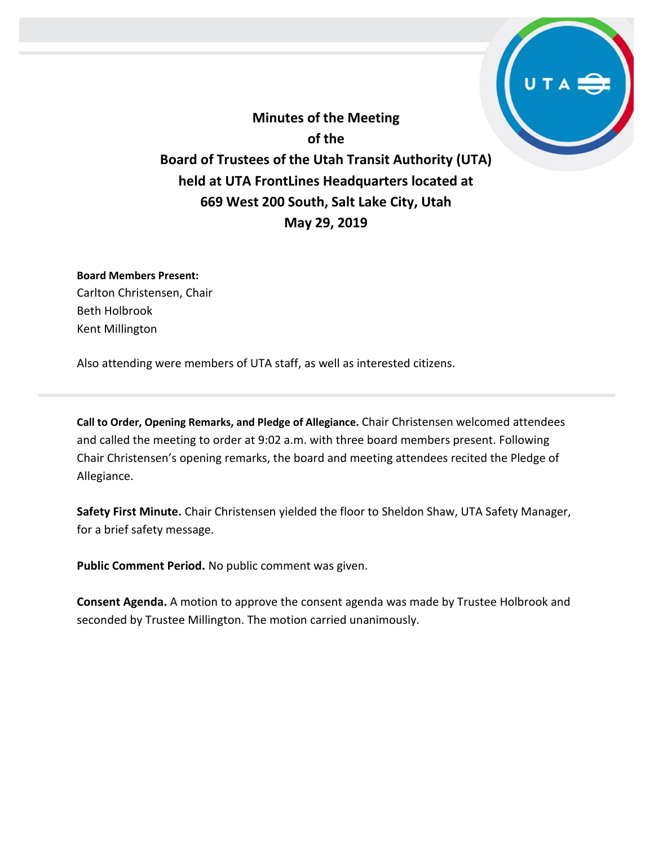**Minutes of the Meeting of the Board of Trustees of the Utah Transit Authority (UTA) held at UTA FrontLines Headquarters located at 669 West 200 South, Salt Lake City, Utah May 29, 2019**

**Board Members Present:** Carlton Christensen, Chair Beth Holbrook Kent Millington

Also attending were members of UTA staff, as well as interested citizens.

**Call to Order, Opening Remarks, and Pledge of Allegiance.** Chair Christensen welcomed attendees and called the meeting to order at 9:02 a.m. with three board members present. Following Chair Christensen's opening remarks, the board and meeting attendees recited the Pledge of Allegiance.

**Safety First Minute.** Chair Christensen yielded the floor to Sheldon Shaw, UTA Safety Manager, for a brief safety message.

**Public Comment Period.** No public comment was given.

**Consent Agenda.** A motion to approve the consent agenda was made by Trustee Holbrook and seconded by Trustee Millington. The motion carried unanimously.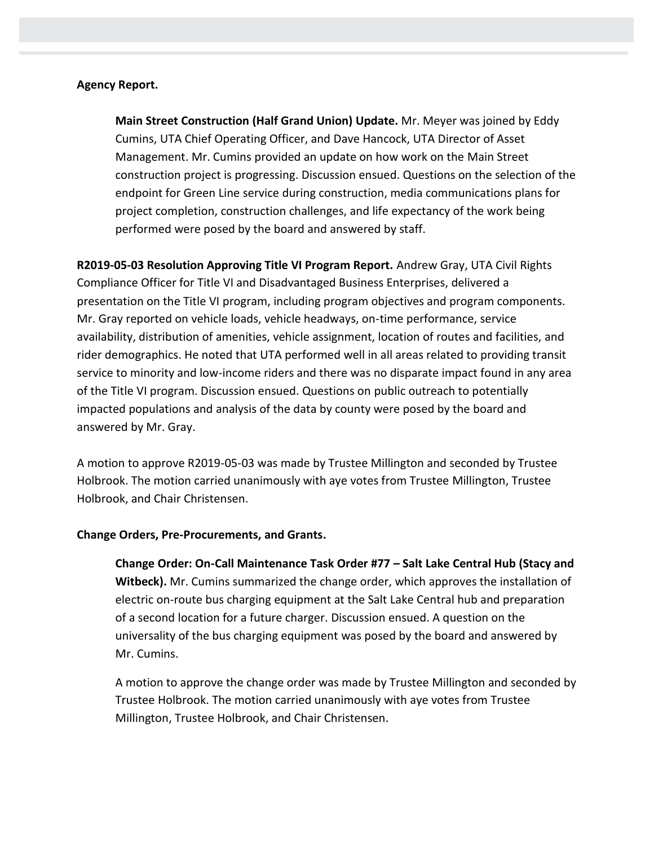## **Agency Report.**

**Main Street Construction (Half Grand Union) Update.** Mr. Meyer was joined by Eddy Cumins, UTA Chief Operating Officer, and Dave Hancock, UTA Director of Asset Management. Mr. Cumins provided an update on how work on the Main Street construction project is progressing. Discussion ensued. Questions on the selection of the endpoint for Green Line service during construction, media communications plans for project completion, construction challenges, and life expectancy of the work being performed were posed by the board and answered by staff.

**R2019-05-03 Resolution Approving Title VI Program Report.** Andrew Gray, UTA Civil Rights Compliance Officer for Title VI and Disadvantaged Business Enterprises, delivered a presentation on the Title VI program, including program objectives and program components. Mr. Gray reported on vehicle loads, vehicle headways, on-time performance, service availability, distribution of amenities, vehicle assignment, location of routes and facilities, and rider demographics. He noted that UTA performed well in all areas related to providing transit service to minority and low-income riders and there was no disparate impact found in any area of the Title VI program. Discussion ensued. Questions on public outreach to potentially impacted populations and analysis of the data by county were posed by the board and answered by Mr. Gray.

A motion to approve R2019-05-03 was made by Trustee Millington and seconded by Trustee Holbrook. The motion carried unanimously with aye votes from Trustee Millington, Trustee Holbrook, and Chair Christensen.

## **Change Orders, Pre-Procurements, and Grants.**

**Change Order: On-Call Maintenance Task Order #77 – Salt Lake Central Hub (Stacy and Witbeck).** Mr. Cumins summarized the change order, which approves the installation of electric on-route bus charging equipment at the Salt Lake Central hub and preparation of a second location for a future charger. Discussion ensued. A question on the universality of the bus charging equipment was posed by the board and answered by Mr. Cumins.

A motion to approve the change order was made by Trustee Millington and seconded by Trustee Holbrook. The motion carried unanimously with aye votes from Trustee Millington, Trustee Holbrook, and Chair Christensen.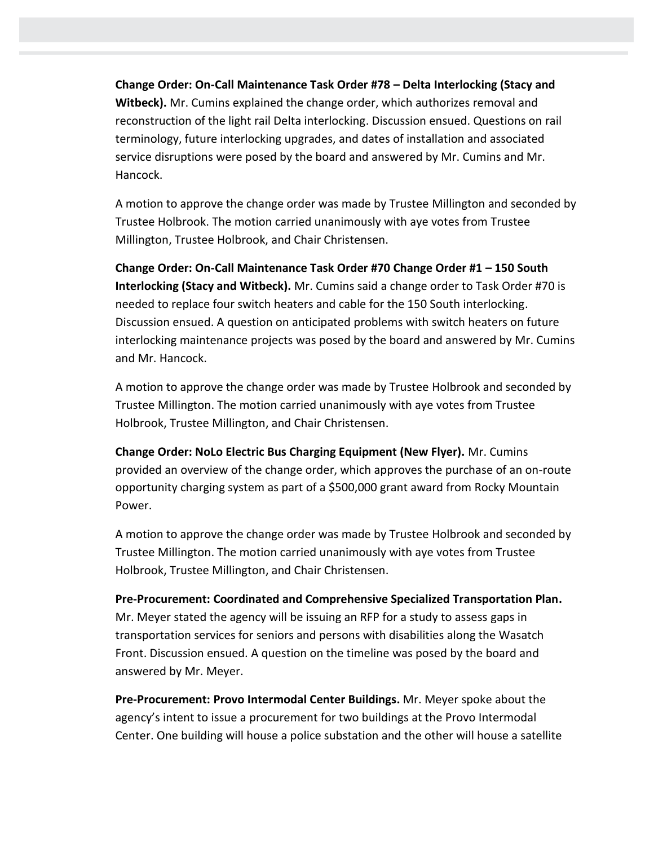**Change Order: On-Call Maintenance Task Order #78 – Delta Interlocking (Stacy and Witbeck).** Mr. Cumins explained the change order, which authorizes removal and reconstruction of the light rail Delta interlocking. Discussion ensued. Questions on rail terminology, future interlocking upgrades, and dates of installation and associated service disruptions were posed by the board and answered by Mr. Cumins and Mr. Hancock.

A motion to approve the change order was made by Trustee Millington and seconded by Trustee Holbrook. The motion carried unanimously with aye votes from Trustee Millington, Trustee Holbrook, and Chair Christensen.

**Change Order: On-Call Maintenance Task Order #70 Change Order #1 – 150 South Interlocking (Stacy and Witbeck).** Mr. Cumins said a change order to Task Order #70 is needed to replace four switch heaters and cable for the 150 South interlocking. Discussion ensued. A question on anticipated problems with switch heaters on future interlocking maintenance projects was posed by the board and answered by Mr. Cumins and Mr. Hancock.

A motion to approve the change order was made by Trustee Holbrook and seconded by Trustee Millington. The motion carried unanimously with aye votes from Trustee Holbrook, Trustee Millington, and Chair Christensen.

**Change Order: NoLo Electric Bus Charging Equipment (New Flyer).** Mr. Cumins provided an overview of the change order, which approves the purchase of an on-route opportunity charging system as part of a \$500,000 grant award from Rocky Mountain Power.

A motion to approve the change order was made by Trustee Holbrook and seconded by Trustee Millington. The motion carried unanimously with aye votes from Trustee Holbrook, Trustee Millington, and Chair Christensen.

**Pre-Procurement: Coordinated and Comprehensive Specialized Transportation Plan.**  Mr. Meyer stated the agency will be issuing an RFP for a study to assess gaps in transportation services for seniors and persons with disabilities along the Wasatch Front. Discussion ensued. A question on the timeline was posed by the board and answered by Mr. Meyer.

**Pre-Procurement: Provo Intermodal Center Buildings.** Mr. Meyer spoke about the agency's intent to issue a procurement for two buildings at the Provo Intermodal Center. One building will house a police substation and the other will house a satellite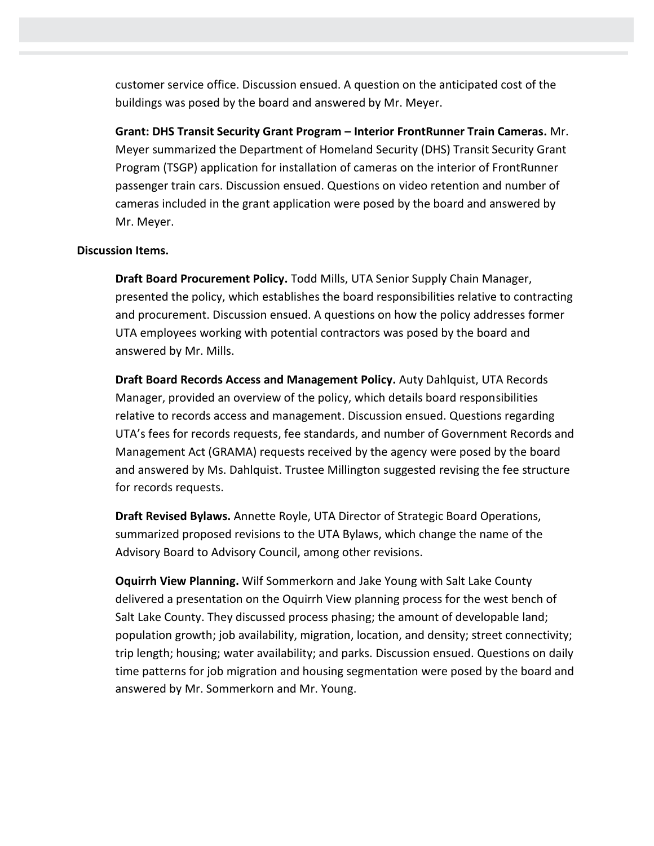customer service office. Discussion ensued. A question on the anticipated cost of the buildings was posed by the board and answered by Mr. Meyer.

**Grant: DHS Transit Security Grant Program – Interior FrontRunner Train Cameras.** Mr. Meyer summarized the Department of Homeland Security (DHS) Transit Security Grant Program (TSGP) application for installation of cameras on the interior of FrontRunner passenger train cars. Discussion ensued. Questions on video retention and number of cameras included in the grant application were posed by the board and answered by Mr. Meyer.

## **Discussion Items.**

**Draft Board Procurement Policy.** Todd Mills, UTA Senior Supply Chain Manager, presented the policy, which establishes the board responsibilities relative to contracting and procurement. Discussion ensued. A questions on how the policy addresses former UTA employees working with potential contractors was posed by the board and answered by Mr. Mills.

**Draft Board Records Access and Management Policy.** Auty Dahlquist, UTA Records Manager, provided an overview of the policy, which details board responsibilities relative to records access and management. Discussion ensued. Questions regarding UTA's fees for records requests, fee standards, and number of Government Records and Management Act (GRAMA) requests received by the agency were posed by the board and answered by Ms. Dahlquist. Trustee Millington suggested revising the fee structure for records requests.

**Draft Revised Bylaws.** Annette Royle, UTA Director of Strategic Board Operations, summarized proposed revisions to the UTA Bylaws, which change the name of the Advisory Board to Advisory Council, among other revisions.

**Oquirrh View Planning.** Wilf Sommerkorn and Jake Young with Salt Lake County delivered a presentation on the Oquirrh View planning process for the west bench of Salt Lake County. They discussed process phasing; the amount of developable land; population growth; job availability, migration, location, and density; street connectivity; trip length; housing; water availability; and parks. Discussion ensued. Questions on daily time patterns for job migration and housing segmentation were posed by the board and answered by Mr. Sommerkorn and Mr. Young.